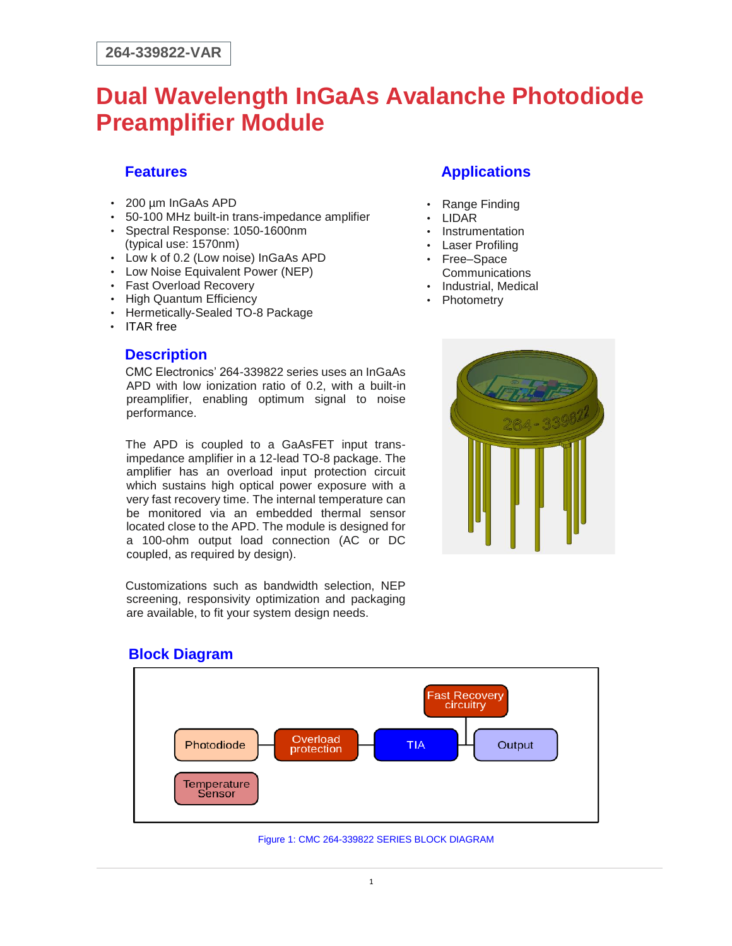## **Dual Wavelength InGaAs Avalanche Photodiode Preamplifier Module**

#### **Features**

- 200 µm InGaAs APD
- 50-100 MHz built-in trans-impedance amplifier
- Spectral Response: 1050-1600nm (typical use: 1570nm)
- Low k of 0.2 (Low noise) InGaAs APD
- Low Noise Equivalent Power (NEP)
- Fast Overload Recovery
- High Quantum Efficiency
- Hermetically-Sealed TO-8 Package
- ITAR free

#### **Description**

CMC Electronics' 264-339822 series uses an InGaAs APD with low ionization ratio of 0.2, with a built-in preamplifier, enabling optimum signal to noise performance.

The APD is coupled to a GaAsFET input transimpedance amplifier in a 12-lead TO-8 package. The amplifier has an overload input protection circuit which sustains high optical power exposure with a very fast recovery time. The internal temperature can be monitored via an embedded thermal sensor located close to the APD. The module is designed for a 100-ohm output load connection (AC or DC coupled, as required by design).

Customizations such as bandwidth selection, NEP screening, responsivity optimization and packaging are available, to fit your system design needs.

### **Applications**

- Range Finding
- LIDAR
- Instrumentation
- Laser Profiling • Free–Space
- **Communications**
- Industrial, Medical
- **Photometry**



#### **Block Diagram**



Figure 1: CMC 264-339822 SERIES BLOCK DIAGRAM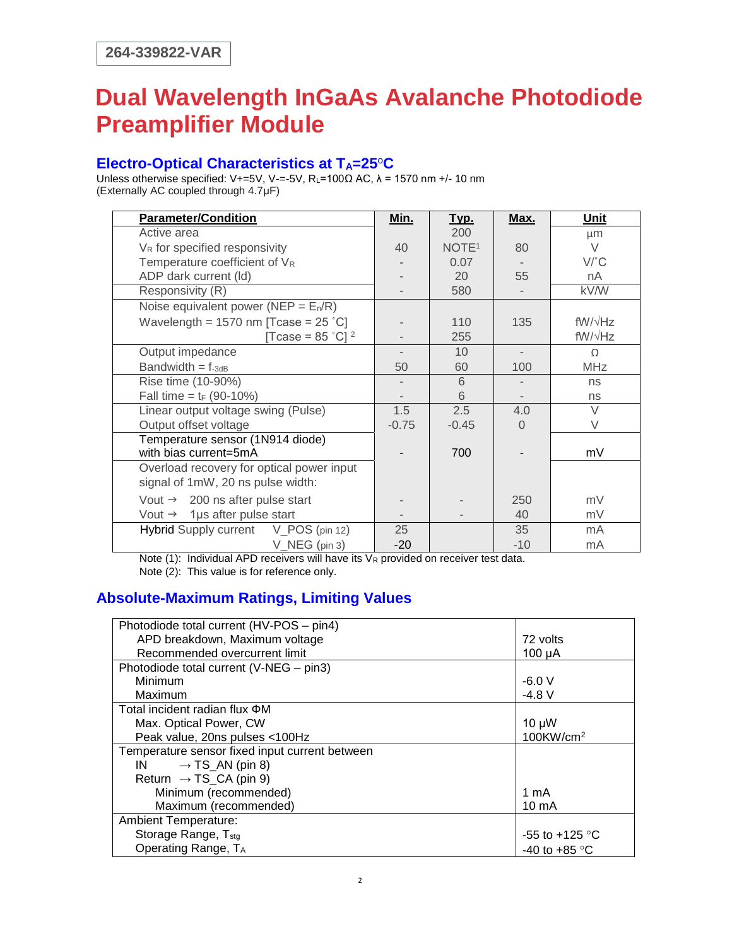# **Dual Wavelength InGaAs Avalanche Photodiode Preamplifier Module**

#### **Electro-Optical Characteristics at TA=25**<sup>o</sup>**C**

Unless otherwise specified: V+=5V, V-=-5V, R<sub>L</sub>=100Ω AC,  $\lambda$  = 1570 nm +/- 10 nm (Externally AC coupled through 4.7μF)

| <b>Parameter/Condition</b>                             | Min.    | <u>Тур.</u>       | Max.  | Unit            |
|--------------------------------------------------------|---------|-------------------|-------|-----------------|
| Active area                                            |         | 200               |       | μm              |
| $V_R$ for specified responsivity                       | 40      | NOTE <sup>1</sup> | 80    | $\vee$          |
| Temperature coefficient of VR                          |         | 0.07              |       | $V^{\prime}$ °C |
| ADP dark current (ld)                                  |         | 20                | 55    | nA              |
| Responsivity (R)                                       |         | 580               |       | kV/W            |
| Noise equivalent power (NEP = $E_n/R$ )                |         |                   |       |                 |
| Wavelength = 1570 nm [Tcase = $25 \text{ }^{\circ}$ C] |         | 110               | 135   | $fW/\sqrt{Hz}$  |
| [Tcase = $85$ °C] <sup>2</sup>                         |         | 255               |       | $fW/\sqrt{Hz}$  |
| Output impedance                                       |         | 10                |       | $\Omega$        |
| Bandwidth = $f_{-3dB}$                                 | 50      | 60                | 100   | <b>MHz</b>      |
| Rise time (10-90%)                                     |         | 6                 |       | ns              |
| Fall time = $t_F$ (90-10%)                             |         | 6                 |       | ns              |
| Linear output voltage swing (Pulse)                    | 1.5     | 2.5               | 4.0   | $\vee$          |
| Output offset voltage                                  | $-0.75$ | $-0.45$           | 0     | $\vee$          |
| Temperature sensor (1N914 diode)                       |         |                   |       |                 |
| with bias current=5mA                                  |         | 700               |       | mV              |
| Overload recovery for optical power input              |         |                   |       |                 |
| signal of 1mW, 20 ns pulse width:                      |         |                   |       |                 |
| Vout $\rightarrow$ 200 ns after pulse start            |         |                   | 250   | mV              |
| Vout $\rightarrow$ 1 µs after pulse start              |         |                   | 40    | mV              |
| Hybrid Supply current V_POS (pin 12)                   | 25      |                   | 35    | mA              |
| V_NEG (pin 3)                                          | $-20$   |                   | $-10$ | mA              |

Note (1): Individual APD receivers will have its  $V_R$  provided on receiver test data. Note (2): This value is for reference only.

#### **Absolute-Maximum Ratings, Limiting Values**

| Photodiode total current (HV-POS - pin4)       |                          |
|------------------------------------------------|--------------------------|
| APD breakdown, Maximum voltage                 | 72 volts                 |
| Recommended overcurrent limit                  | $100 \mu A$              |
| Photodiode total current (V-NEG - pin3)        |                          |
| Minimum                                        | $-6.0V$                  |
| Maximum                                        | $-4.8$ V                 |
| Total incident radian flux <b>ΦM</b>           |                          |
| Max. Optical Power, CW                         | $10 \mu W$               |
| Peak value, 20ns pulses <100Hz                 | $100$ KW/cm <sup>2</sup> |
| Temperature sensor fixed input current between |                          |
| IN $\rightarrow$ TS_AN (pin 8)                 |                          |
| Return $\rightarrow$ TS_CA (pin 9)             |                          |
| Minimum (recommended)                          | 1 mA                     |
| Maximum (recommended)                          | $10 \text{ mA}$          |
| <b>Ambient Temperature:</b>                    |                          |
| Storage Range, T <sub>stg</sub>                | $-55$ to $+125$ °C       |
| Operating Range, TA                            | -40 to +85 $^{\circ}$ C  |